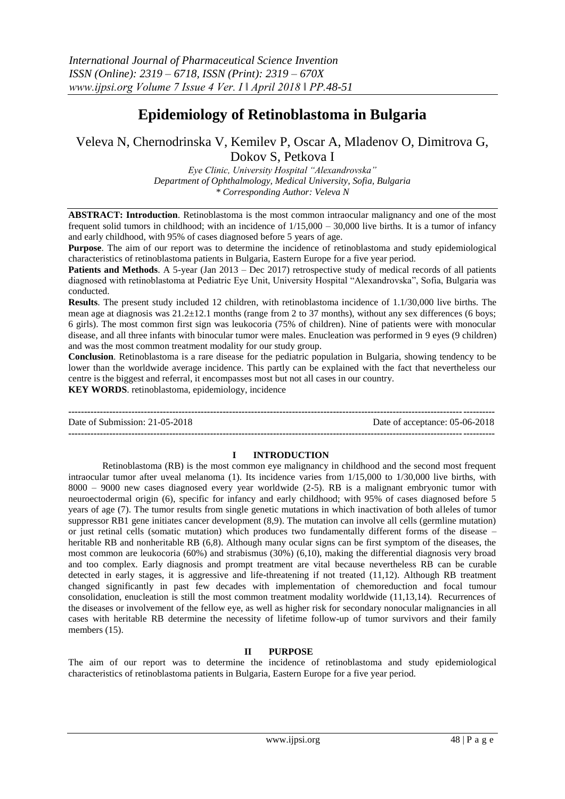# **Epidemiology of Retinoblastoma in Bulgaria**

Veleva N, Chernodrinska V, Kemilev P, Oscar A, Mladenov O, Dimitrova G,

Dokov S, Petkova I

*Eye Clinic, University Hospital "Alexandrovska" Department of Ophthalmology, Medical University, Sofia, Bulgaria \* Corresponding Author: Veleva N*

**ABSTRACT: Introduction**. Retinoblastoma is the most common intraocular malignancy and one of the most frequent solid tumors in childhood; with an incidence of 1/15,000 – 30,000 live births. It is a tumor of infancy and early childhood, with 95% of cases diagnosed before 5 years of age.

**Purpose**. The aim of our report was to determine the incidence of retinoblastoma and study epidemiological characteristics of retinoblastoma patients in Bulgaria, Eastern Europe for a five year period.

**Patients and Methods.** A 5-year (Jan 2013 – Dec 2017) retrospective study of medical records of all patients diagnosed with retinoblastoma at Pediatric Eye Unit, University Hospital "Alexandrovska", Sofia, Bulgaria was conducted.

**Results**. The present study included 12 children, with retinoblastoma incidence of 1.1/30,000 live births. The mean age at diagnosis was  $21.2 \pm 12.1$  months (range from 2 to 37 months), without any sex differences (6 boys; 6 girls). The most common first sign was leukocoria (75% of children). Nine of patients were with monocular disease, and all three infants with binocular tumor were males. Enucleation was performed in 9 eyes (9 children) and was the most common treatment modality for our study group.

**Conclusion**. Retinoblastoma is a rare disease for the pediatric population in Bulgaria, showing tendency to be lower than the worldwide average incidence. This partly can be explained with the fact that nevertheless our centre is the biggest and referral, it encompasses most but not all cases in our country.

**KEY WORDS**. retinoblastoma, epidemiology, incidence

**---------------------------------------------------------------------------------------------------------------------------------------** Date of Submission: 21-05-2018 Date of acceptance: 05-06-2018 **---------------------------------------------------------------------------------------------------------------------------------------**

## **I INTRODUCTION**

Retinoblastoma (RB) is the most common eye malignancy in childhood and the second most frequent intraocular tumor after uveal melanoma (1). Its incidence varies from 1/15,000 to 1/30,000 live births, with 8000 – 9000 new cases diagnosed every year worldwide (2-5). RB is a malignant embryonic tumor with neuroectodermal origin (6), specific for infancy and early childhood; with 95% of cases diagnosed before 5 years of age (7). The tumor results from single genetic mutations in which inactivation of both alleles of tumor suppressor RB1 gene initiates cancer development (8,9). The mutation can involve all cells (germline mutation) or just retinal cells (somatic mutation) which produces two fundamentally different forms of the disease – heritable RB and nonheritable RB (6,8). Although many ocular signs can be first symptom of the diseases, the most common are leukocoria (60%) and strabismus (30%) (6,10), making the differential diagnosis very broad and too complex. Early diagnosis and prompt treatment are vital because nevertheless RB can be curable detected in early stages, it is aggressive and life-threatening if not treated (11,12). Although RB treatment changed significantly in past few decades with implementation of chemoreduction and focal tumour consolidation, enucleation is still the most common treatment modality worldwide (11,13,14). Recurrences of the diseases or involvement of the fellow eye, as well as higher risk for secondary nonocular malignancies in all cases with heritable RB determine the necessity of lifetime follow-up of tumor survivors and their family members (15).

## **II PURPOSE**

The aim of our report was to determine the incidence of retinoblastoma and study epidemiological characteristics of retinoblastoma patients in Bulgaria, Eastern Europe for a five year period.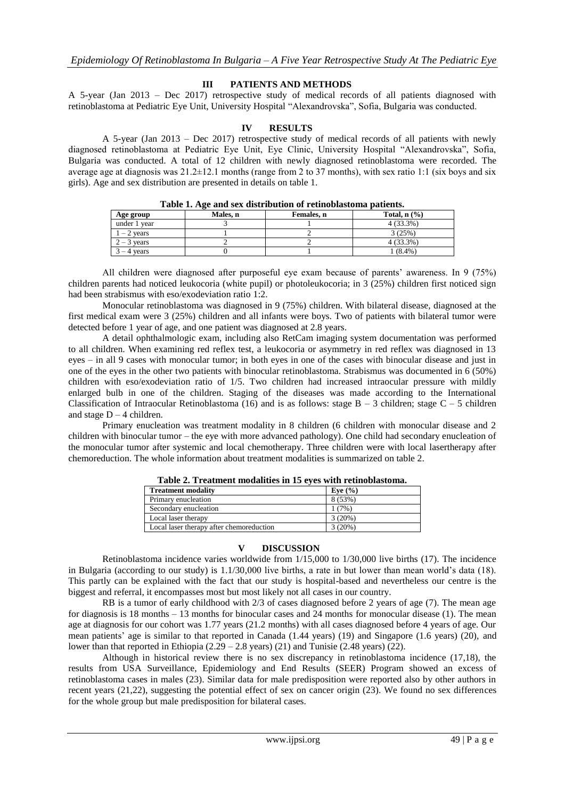## **III PATIENTS AND METHODS**

A 5-year (Jan 2013 – Dec 2017) retrospective study of medical records of all patients diagnosed with retinoblastoma at Pediatric Eye Unit, University Hospital "Alexandrovska", Sofia, Bulgaria was conducted.

### **IV RESULTS**

A 5-year (Jan 2013 – Dec 2017) retrospective study of medical records of all patients with newly diagnosed retinoblastoma at Pediatric Eye Unit, Eye Clinic, University Hospital "Alexandrovska", Sofia, Bulgaria was conducted. A total of 12 children with newly diagnosed retinoblastoma were recorded. The average age at diagnosis was  $21.2 \pm 12.1$  months (range from 2 to 37 months), with sex ratio 1:1 (six boys and six girls). Age and sex distribution are presented in details on table 1.

| Age group     | Males. n | Females. n | Total, $n$ $\left(\frac{9}{6}\right)$ |
|---------------|----------|------------|---------------------------------------|
| under 1 year  |          |            | 4 (33.3%)                             |
| $-2$ vears    |          |            | 3(25%)                                |
| $2 - 3$ vears |          |            | 4 (33.3%)                             |
| 4 vears       |          |            | $(8.4\%)$                             |

| Table 1. Age and sex distribution of retinoblastoma patients. |  |
|---------------------------------------------------------------|--|
|---------------------------------------------------------------|--|

All children were diagnosed after purposeful eye exam because of parents' awareness. In 9 (75%) children parents had noticed leukocoria (white pupil) or photoleukocoria; in 3 (25%) children first noticed sign had been strabismus with eso/exodeviation ratio 1:2.

Monocular retinoblastoma was diagnosed in 9 (75%) children. With bilateral disease, diagnosed at the first medical exam were 3 (25%) children and all infants were boys. Two of patients with bilateral tumor were detected before 1 year of age, and one patient was diagnosed at 2.8 years.

A detail ophthalmologic exam, including also RetCam imaging system documentation was performed to all children. When examining red reflex test, a leukocoria or asymmetry in red reflex was diagnosed in 13 eyes – in all 9 cases with monocular tumor; in both eyes in one of the cases with binocular disease and just in one of the eyes in the other two patients with binocular retinoblastoma. Strabismus was documented in 6 (50%) children with eso/exodeviation ratio of 1/5. Two children had increased intraocular pressure with mildly enlarged bulb in one of the children. Staging of the diseases was made according to the International Classification of Intraocular Retinoblastoma (16) and is as follows: stage  $B - 3$  children; stage  $C - 5$  children and stage  $D - 4$  children.

Primary enucleation was treatment modality in 8 children (6 children with monocular disease and 2 children with binocular tumor – the eye with more advanced pathology). One child had secondary enucleation of the monocular tumor after systemic and local chemotherapy. Three children were with local lasertherapy after chemoreduction. The whole information about treatment modalities is summarized on table 2.

| Tuble 2: Treatment modulates in to eves with rethrobiustomal |             |  |  |
|--------------------------------------------------------------|-------------|--|--|
| <b>Treatment modality</b>                                    | Eve $(\% )$ |  |  |
| Primary enucleation                                          | 8 (53%)     |  |  |
| Secondary enucleation                                        | 1(7%)       |  |  |
| Local laser therapy                                          | 3(20%)      |  |  |
| Local laser therapy after chemoreduction                     | 3(20%)      |  |  |

**Table 2. Treatment modalities in 15 eyes with retinoblastoma.**

### **V DISCUSSION**

Retinoblastoma incidence varies worldwide from  $1/15,000$  to  $1/30,000$  live births (17). The incidence in Bulgaria (according to our study) is 1.1/30,000 live births, a rate in but lower than mean world's data (18). This partly can be explained with the fact that our study is hospital-based and nevertheless our centre is the biggest and referral, it encompasses most but most likely not all cases in our country.

RB is a tumor of early childhood with 2/3 of cases diagnosed before 2 years of age (7). The mean age for diagnosis is 18 months – 13 months for binocular cases and 24 months for monocular disease (1). The mean age at diagnosis for our cohort was 1.77 years (21.2 months) with all cases diagnosed before 4 years of age. Our mean patients' age is similar to that reported in Canada (1.44 years) (19) and Singapore (1.6 years) (20), and lower than that reported in Ethiopia  $(2.29 - 2.8$  years)  $(21)$  and Tunisie  $(2.48$  years)  $(22)$ .

Although in historical review there is no sex discrepancy in retinoblastoma incidence (17,18), the results from USA Surveillance, Epidemiology and End Results (SEER) Program showed an excess of retinoblastoma cases in males (23). Similar data for male predisposition were reported also by other authors in recent years (21,22), suggesting the potential effect of sex on cancer origin (23). We found no sex differences for the whole group but male predisposition for bilateral cases.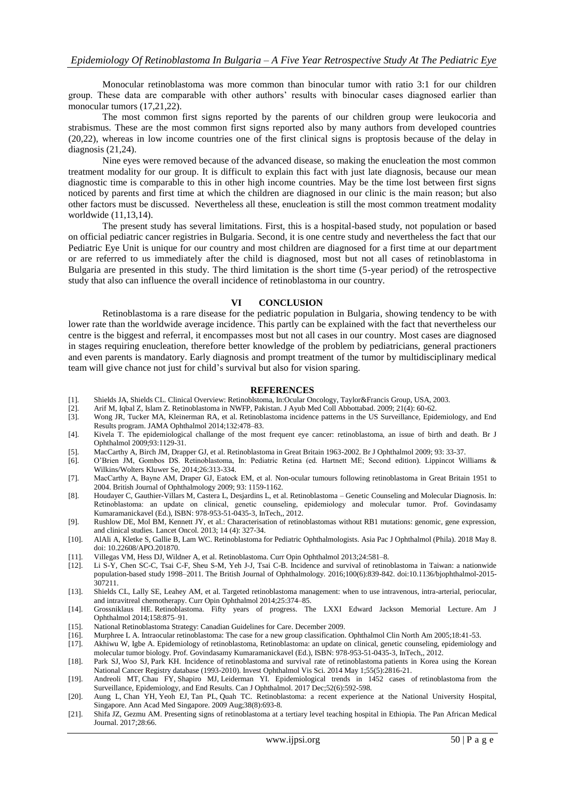Monocular retinoblastoma was more common than binocular tumor with ratio 3:1 for our children group. These data are comparable with other authors' results with binocular cases diagnosed earlier than monocular tumors  $(17,21,22)$ .

The most common first signs reported by the parents of our children group were leukocoria and strabismus. These are the most common first signs reported also by many authors from developed countries (20,22), whereas in low income countries one of the first clinical signs is proptosis because of the delay in diagnosis (21,24).

Nine eyes were removed because of the advanced disease, so making the enucleation the most common treatment modality for our group. It is difficult to explain this fact with just late diagnosis, because our mean diagnostic time is comparable to this in other high income countries. May be the time lost between first signs noticed by parents and first time at which the children are diagnosed in our clinic is the main reason; but also other factors must be discussed. Nevertheless all these, enucleation is still the most common treatment modality worldwide (11,13,14).

The present study has several limitations. First, this is a hospital-based study, not population or based on official pediatric cancer registries in Bulgaria. Second, it is one centre study and nevertheless the fact that our Pediatric Eye Unit is unique for our country and most children are diagnosed for a first time at our department or are referred to us immediately after the child is diagnosed, most but not all cases of retinoblastoma in Bulgaria are presented in this study. The third limitation is the short time (5-year period) of the retrospective study that also can influence the overall incidence of retinoblastoma in our country.

#### **VI CONCLUSION**

Retinoblastoma is a rare disease for the pediatric population in Bulgaria, showing tendency to be with lower rate than the worldwide average incidence. This partly can be explained with the fact that nevertheless our centre is the biggest and referral, it encompasses most but not all cases in our country. Most cases are diagnosed in stages requiring enucleation, therefore better knowledge of the problem by pediatricians, general practioners and even parents is mandatory. Early diagnosis and prompt treatment of the tumor by multidisciplinary medical team will give chance not just for child's survival but also for vision sparing.

#### **REFERENCES**

- [1]. Shields JA, Shields CL. Clinical Overview: Retinoblstoma, In:Ocular Oncology, Taylor&Francis Group, USA, 2003.
- [2]. Arif M, Iqbal Z, Islam Z. Retinoblastoma in NWFP, Pakistan. J Ayub Med Coll Abbottabad. 2009; 21(4): 60-62.
- [3]. Wong JR, Tucker MA, Kleinerman RA, et al. Retinoblastoma incidence patterns in the US Surveillance, Epidemiology, and End Results program. JAMA Ophthalmol 2014;132:478–83.
- [4]. Kivela T. The epidemiological challange of the most frequent eye cancer: retinoblastoma, an issue of birth and death. Br J Ophthalmol 2009;93:1129-31.
- [5]. MacCarthy A, Birch JM, Drapper GJ, et al. Retinoblastoma in Great Britain 1963-2002. Br J Ophthalmol 2009; 93: 33-37.
- [6]. O'Brien JM, Gombos DS. Retinoblastoma, In: Pediatric Retina (ed. Hartnett ME; Second edition). Lippincot Williams & Wilkins/Wolters Kluwer Se, 2014;26:313-334.
- [7]. MacCarthy А, Bayne АМ, Draper GJ, Eatock EM, et al. [Non-ocular tumours following retinoblastoma in Great Britain 1951 to](http://bjo.bmj.com/content/93/9/1159)  [2004.](http://bjo.bmj.com/content/93/9/1159) British Journal of Ophthalmology 2009; 93: 1159-1162.
- [8]. Houdayer C, Gauthier-Villars M, Castera L, Desjardins L, et al. Retinoblastoma Genetic Counseling and Molecular Diagnosis. In: Retinoblastoma: аn update on clinical, genetic counseling, epidemiology and molecular tumor. Prof. Govindasamy Kumaramanickavel (Ed.), ISBN: 978-953-51-0435-3, InTech,, 2012.
- [9]. Rushlow DE, Mol BM, Kennett JY, et al.: Characterisation of retinoblastomas without RB1 mutations: genomic, gene expression, and clinical studies. Lancet Oncol. 2013; 14 (4): 327-34.
- [10]. [AlAli A,](https://www.ncbi.nlm.nih.gov/pubmed/?term=AlAli%20A%5BAuthor%5D&cauthor=true&cauthor_uid=29737052) [Kletke S,](https://www.ncbi.nlm.nih.gov/pubmed/?term=Kletke%20S%5BAuthor%5D&cauthor=true&cauthor_uid=29737052) [Gallie B,](https://www.ncbi.nlm.nih.gov/pubmed/?term=Gallie%20B%5BAuthor%5D&cauthor=true&cauthor_uid=29737052) [Lam WC.](https://www.ncbi.nlm.nih.gov/pubmed/?term=Lam%20WC%5BAuthor%5D&cauthor=true&cauthor_uid=29737052) Retinoblastoma for Pediatric Ophthalmologists. [Asia Pac J Ophthalmol \(Phila\).](https://www.ncbi.nlm.nih.gov/pubmed/29737052) 2018 May 8. doi: 10.22608/APO.201870.
- [11]. Villegas VM, Hess DJ, Wildner A, et al. Retinoblastoma. Curr Opin Ophthalmol 2013;24:581–8.
- [12]. Li S-Y, Chen SC-C, Tsai C-F, Sheu S-M, Yeh J-J, Tsai C-B. Incidence and survival of retinoblastoma in Taiwan: a nationwide population-based study 1998–2011. The British Journal of Ophthalmology. 2016;100(6):839-842. doi:10.1136/bjophthalmol-2015- 307211.
- [13]. Shields CL, Lally SE, Leahey AM, et al. Targeted retinoblastoma management: when to use intravenous, intra-arterial, periocular, and intravitreal chemotherapy. Curr Opin Ophthalmol 2014;25:374–85.
- [14]. Grossniklaus HE. Retinoblastoma. Fifty years of progress. The LXXI Edward Jackson Memorial Lecture. Am J Ophthalmol 2014;158:875–91.
- [15]. [National Retinoblastoma Strategy: Canadian Guidelines for Care.](http://v2020eresource.org/content/files/National.html) December 2009.
- [16]. Murphree L A. Intraocular retinoblastoma: The case for a new group classification. Ophthalmol Clin North Am 2005;18:41-53.
- [17]. Akhiwu W, Igbe A. Epidemiology of retinoblastoma, Retinoblastoma: an update on clinical, genetic counseling, epidemiology and molecular tumor biology. Prof. Govindasamy Kumaramanickavel (Ed.), ISBN: 978-953-51-0435-3, InTech,, 2012.
- [18]. [Park SJ,](https://www.ncbi.nlm.nih.gov/pubmed/?term=Park%20SJ%5BAuthor%5D&cauthor=true&cauthor_uid=24692122) [Woo SJ,](https://www.ncbi.nlm.nih.gov/pubmed/?term=Woo%20SJ%5BAuthor%5D&cauthor=true&cauthor_uid=24692122) [Park KH.](https://www.ncbi.nlm.nih.gov/pubmed/?term=Park%20KH%5BAuthor%5D&cauthor=true&cauthor_uid=24692122) Incidence of retinoblastoma and survival rate of retinoblastoma patients in Korea using the Korean National Cancer Registry database (1993-2010). [Invest Ophthalmol Vis Sci.](https://www.ncbi.nlm.nih.gov/pubmed/24692122) 2014 May 1;55(5):2816-21.
- [19]. [Andreoli MT,](https://www.ncbi.nlm.nih.gov/pubmed/?term=Andreoli%20MT%5BAuthor%5D&cauthor=true&cauthor_uid=29217028) [Chau FY,](https://www.ncbi.nlm.nih.gov/pubmed/?term=Chau%20FY%5BAuthor%5D&cauthor=true&cauthor_uid=29217028) [Shapiro MJ,](https://www.ncbi.nlm.nih.gov/pubmed/?term=Shapiro%20MJ%5BAuthor%5D&cauthor=true&cauthor_uid=29217028) [Leiderman YI.](https://www.ncbi.nlm.nih.gov/pubmed/?term=Leiderman%20YI%5BAuthor%5D&cauthor=true&cauthor_uid=29217028) Epidemiological trends in 1452 cases of retinoblastoma from the Surveillance, Epidemiology, and End Results. [Can J Ophthalmol.](https://www.ncbi.nlm.nih.gov/pubmed/29217028) 2017 Dec;52(6):592-598.
- [20]. [Aung L,](https://www.ncbi.nlm.nih.gov/pubmed/?term=Aung%20L%5BAuthor%5D&cauthor=true&cauthor_uid=19736573) [Chan YH,](https://www.ncbi.nlm.nih.gov/pubmed/?term=Chan%20YH%5BAuthor%5D&cauthor=true&cauthor_uid=19736573) [Yeoh EJ,](https://www.ncbi.nlm.nih.gov/pubmed/?term=Yeoh%20EJ%5BAuthor%5D&cauthor=true&cauthor_uid=19736573) [Tan PL,](https://www.ncbi.nlm.nih.gov/pubmed/?term=Tan%20PL%5BAuthor%5D&cauthor=true&cauthor_uid=19736573) [Quah TC.](https://www.ncbi.nlm.nih.gov/pubmed/?term=Quah%20TC%5BAuthor%5D&cauthor=true&cauthor_uid=19736573) Retinoblastoma: a recent experience at the National University Hospital, Singapore[. Ann Acad Med Singapore.](https://www.ncbi.nlm.nih.gov/pubmed/19736573) 2009 Aug;38(8):693-8.
- [21]. Shifa JZ, Gezmu AM. Presenting signs of retinoblastoma at a tertiary level teaching hospital in Ethiopia. The Pan African Medical Journal. 2017;28:66.